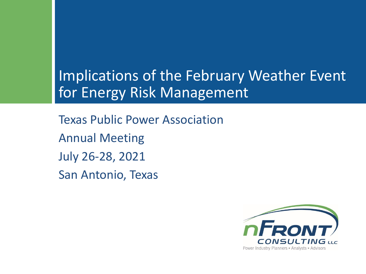## Implications of the February Weather Event for Energy Risk Management

Texas Public Power Association Annual Meeting July 26-28, 2021 San Antonio, Texas

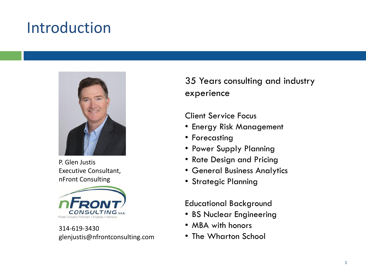# Introduction



P. Glen Justis Executive Consultant, nFront Consulting



314-619-3430 glenjustis@nfrontconsulting.com 35 Years consulting and industry experience

Client Service Focus

- Energy Risk Management
- Forecasting
- Power Supply Planning
- Rate Design and Pricing
- General Business Analytics
- Strategic Planning

Educational Background

- BS Nuclear Engineering
- MBA with honors
- The Wharton School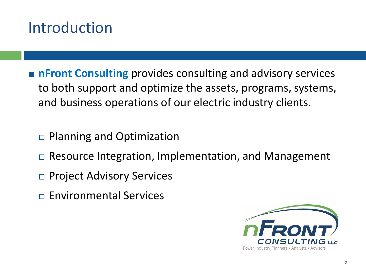# Introduction

- **n Front Consulting** provides consulting and advisory services to both support and optimize the assets, programs, systems, and business operations of our electric industry clients.
	- □ Planning and Optimization
	- □ Resource Integration, Implementation, and Management
	- □ Project Advisory Services
	- Environmental Services

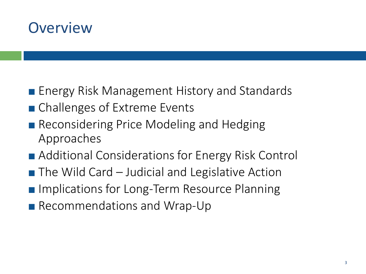#### **Overview**

- **Energy Risk Management History and Standards**
- Challenges of Extreme Events
- **Reconsidering Price Modeling and Hedging** Approaches
- Additional Considerations for Energy Risk Control
- The Wild Card Judicial and Legislative Action
- **Implications for Long-Term Resource Planning**
- Recommendations and Wrap-Up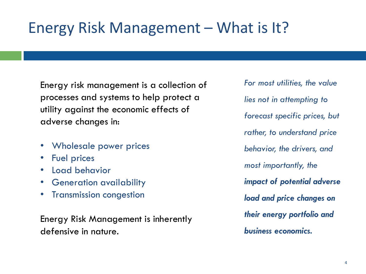# Energy Risk Management – What is It?

Energy risk management is a collection of processes and systems to help protect a utility against the economic effects of adverse changes in:

- Wholesale power prices
- Fuel prices
- Load behavior
- Generation availability
- Transmission congestion

Energy Risk Management is inherently defensive in nature.

*For most utilities, the value lies not in attempting to forecast specific prices, but rather, to understand price behavior, the drivers, and most importantly, the impact of potential adverse load and price changes on their energy portfolio and business economics.*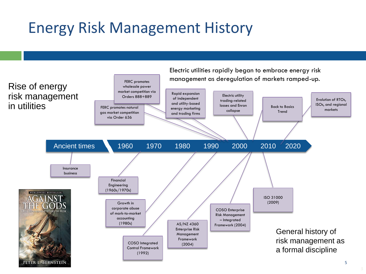# Energy Risk Management History

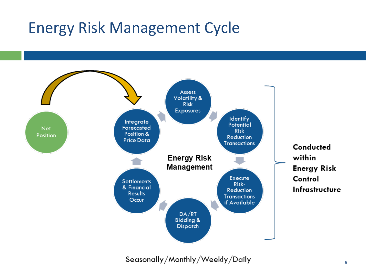# Energy Risk Management Cycle



Seasonally/Monthly/Weekly/Daily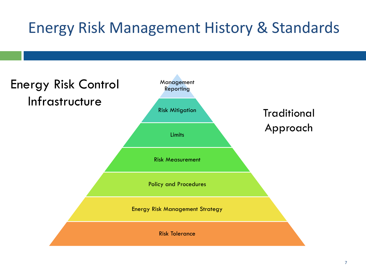# Energy Risk Management History & Standards

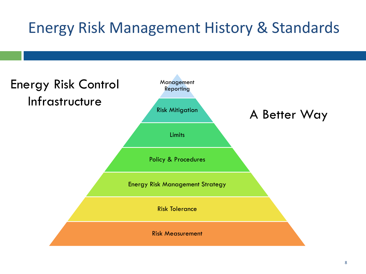# Energy Risk Management History & Standards

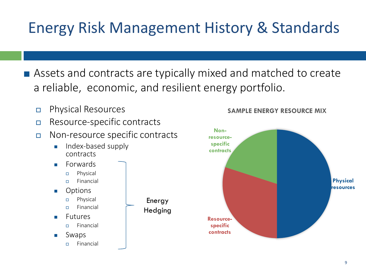# Energy Risk Management History & Standards

- Assets and contracts are typically mixed and matched to create a reliable, economic, and resilient energy portfolio.
	- Physical Resources
	- Resource-specific contracts
	- Non-resource specific contracts
		- Index-based supply contracts
		- **Eorwards** 
			- Physical
			- Financial
		- **Options** 
			- Physical
			- Financial
		- **Futures** 
			- Financial
		- **Swaps** 
			- Financial





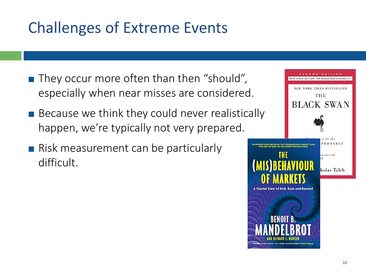- **They occur more often than then "should",** especially when near misses are considered.
- **Because we think they could never realistically** happen, we're typically not very prepared.
- **Risk measurement can be particularly** difficult.

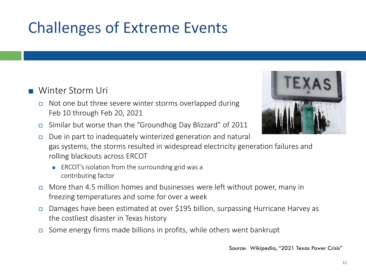#### **N** Winter Storm Uri

- $\Box$  Not one but three severe winter storms overlapped during Feb 10 through Feb 20, 2021
- Similar but worse than the "Groundhog Day Blizzard" of 2011
- $\Box$  Due in part to inadequately winterized generation and natural gas systems, the storms resulted in widespread electricity generation failures and rolling blackouts across ERCOT
	- ERCOT's isolation from the surrounding grid was a contributing factor
- $\Box$  More than 4.5 million homes and businesses were left without power, many in freezing temperatures and some for over a week
- Damages have been estimated at over \$195 billion, surpassing Hurricane Harvey as the costliest disaster in Texas history
- Some energy firms made billions in profits, while others went bankrupt

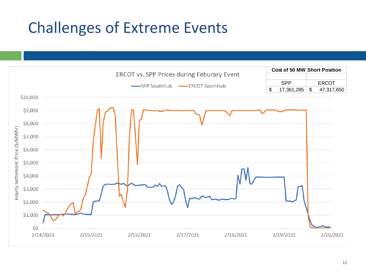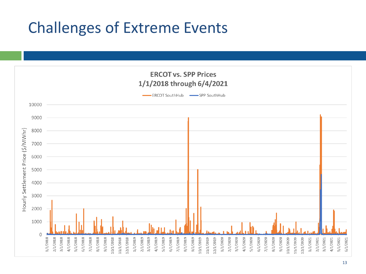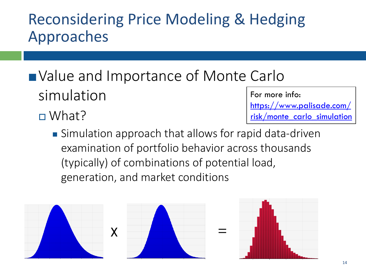- Value and Importance of Monte Carlo simulation
	- □ What?

For more info: https://www.palisade.com/ [risk/monte\\_carlo\\_simulation](https://www.palisade.com/risk/monte_carlo_simulation.asp)

■ Simulation approach that allows for rapid data-driven examination of portfolio behavior across thousands (typically) of combinations of potential load, generation, and market conditions



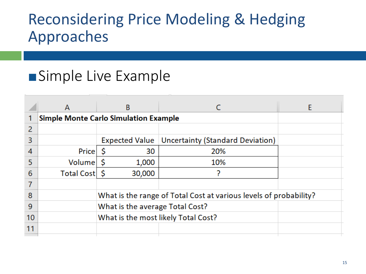## **Simple Live Example**

|    | A               | B                                                                 |                                                   |  |  |
|----|-----------------|-------------------------------------------------------------------|---------------------------------------------------|--|--|
|    |                 | <b>Simple Monte Carlo Simulation Example</b>                      |                                                   |  |  |
| 2  |                 |                                                                   |                                                   |  |  |
| 3  |                 |                                                                   | Expected Value   Uncertainty (Standard Deviation) |  |  |
| 4  | Price           | 30                                                                | 20%                                               |  |  |
| 5  | Volume          | 1,000                                                             | 10%                                               |  |  |
| 6  | Total Cost   \$ | 30,000                                                            |                                                   |  |  |
|    |                 |                                                                   |                                                   |  |  |
| 8  |                 | What is the range of Total Cost at various levels of probability? |                                                   |  |  |
| 9  |                 | What is the average Total Cost?                                   |                                                   |  |  |
| 10 |                 | What is the most likely Total Cost?                               |                                                   |  |  |
| 11 |                 |                                                                   |                                                   |  |  |
|    |                 |                                                                   |                                                   |  |  |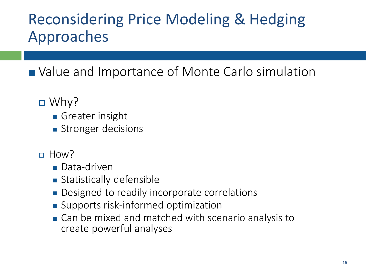■ Value and Importance of Monte Carlo simulation

- $\Box$  Why?
	- Greater insight
	- Stronger decisions
- $\Box$  How?
	- Data-driven
	- Statistically defensible
	- Designed to readily incorporate correlations
	- Supports risk-informed optimization
	- Can be mixed and matched with scenario analysis to create powerful analyses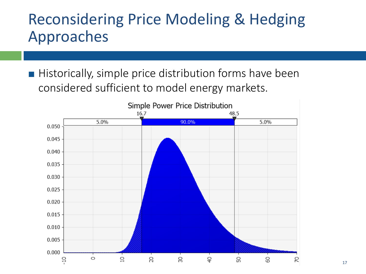**Historically, simple price distribution forms have been** considered sufficient to model energy markets.

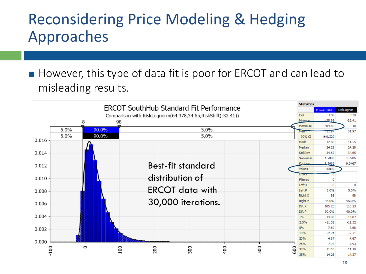■ However, this type of data fit is poor for ERCOT and can lead to misleading results.

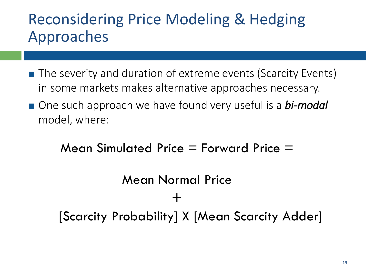- The severity and duration of extreme events (Scarcity Events) in some markets makes alternative approaches necessary.
- One such approach we have found very useful is a **bi-modal** model, where:

Mean Simulated Price  $=$  Forward Price  $=$ 

# Mean Normal Price + [Scarcity Probability] X [Mean Scarcity Adder]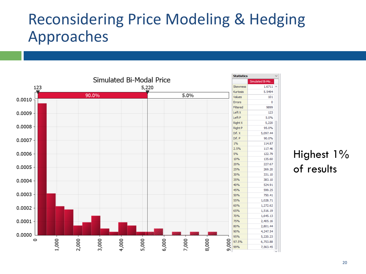

#### Highest 1% of results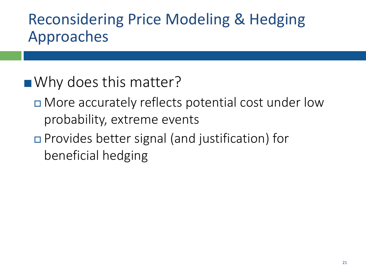## ■ Why does this matter?

- More accurately reflects potential cost under low probability, extreme events
- Provides better signal (and justification) for beneficial hedging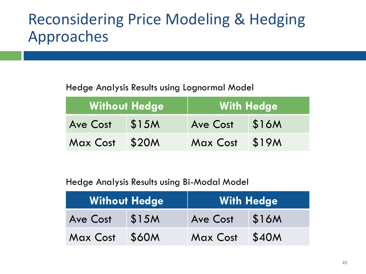#### Hedge Analysis Results using Lognormal Model

|                 | <b>Without Hedge</b> | <b>With Hedge</b> |       |
|-----------------|----------------------|-------------------|-------|
| <b>Ave Cost</b> | \$15M                | <b>Ave Cost</b>   | \$16M |
| Max Cost        | \$20M                | <b>Max Cost</b>   | \$19M |

#### Hedge Analysis Results using Bi-Modal Model

|          | <b>Without Hedge</b> | <b>With Hedge</b> |       |
|----------|----------------------|-------------------|-------|
| Ave Cost | \$15M                | <b>Ave Cost</b>   | \$16M |
| Max Cost | \$60M                | Max Cost          | \$40M |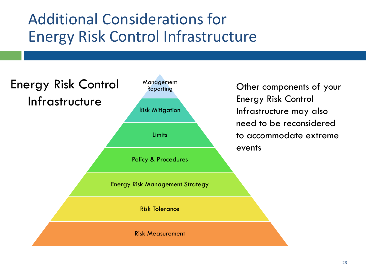# Additional Considerations for Energy Risk Control Infrastructure

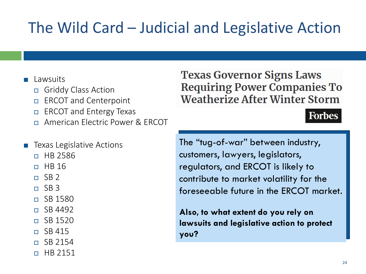# The Wild Card – Judicial and Legislative Action

#### Lawsuits

- Griddy Class Action
- ERCOT and Centerpoint
- $\Box$  ERCOT and Entergy Texas
- American Electric Power & ERCOT

#### Texas Legislative Actions

- n HR 2586
- $n$  HB 16
- $\Box$  SB 2
- $\Box$  SB 3
- $\Box$  SB 1580
- $\sqrt{5}$  SR 4492
- $\Box$  SB 1520
- $\overline{P}$  SB 415
- $\Box$  SB 2154
- $\Box$  HB 2151

#### **Texas Governor Signs Laws Requiring Power Companies To Weatherize After Winter Storm**

#### **Forbes**

The "tug-of-war" between industry, customers, lawyers, legislators, regulators, and ERCOT is likely to contribute to market volatility for the foreseeable future in the ERCOT market.

**Also, to what extent do you rely on lawsuits and legislative action to protect you?**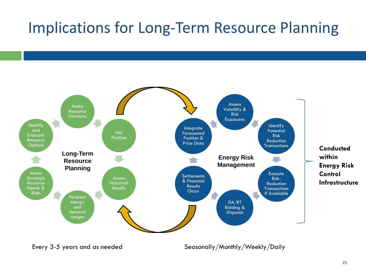# Implications for Long-Term Resource Planning



Every 3-5 years and as needed Seasonally/Monthly/Weekly/Daily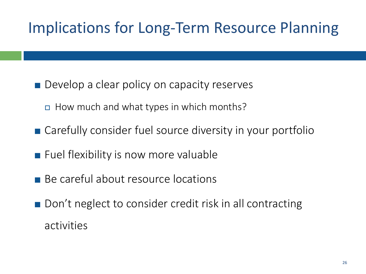# Implications for Long-Term Resource Planning

- **Develop a clear policy on capacity reserves** 
	- How much and what types in which months?
- Carefully consider fuel source diversity in your portfolio
- **Fuel flexibility is now more valuable**
- Be careful about resource locations
- Don't neglect to consider credit risk in all contracting activities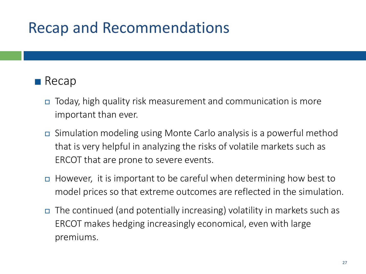# Recap and Recommendations

#### $\blacksquare$  Recap

- Today, high quality risk measurement and communication is more important than ever.
- Simulation modeling using Monte Carlo analysis is a powerful method that is very helpful in analyzing the risks of volatile markets such as ERCOT that are prone to severe events.
- □ However, it is important to be careful when determining how best to model prices so that extreme outcomes are reflected in the simulation.
- $\Box$  The continued (and potentially increasing) volatility in markets such as ERCOT makes hedging increasingly economical, even with large premiums.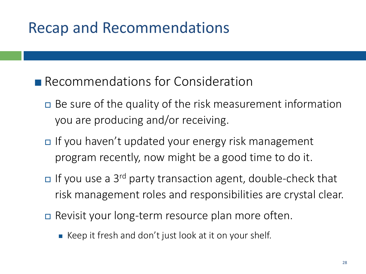# Recap and Recommendations

#### **Recommendations for Consideration**

- $\Box$  Be sure of the quality of the risk measurement information you are producing and/or receiving.
- If you haven't updated your energy risk management program recently, now might be a good time to do it.
- $\Box$  If you use a 3<sup>rd</sup> party transaction agent, double-check that risk management roles and responsibilities are crystal clear.
- Revisit your long-term resource plan more often.
	- Keep it fresh and don't just look at it on your shelf.